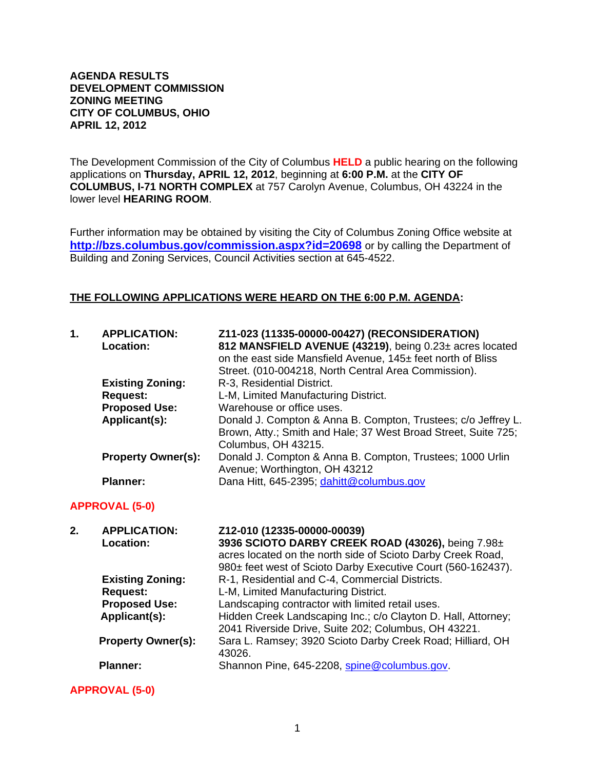#### **AGENDA RESULTS DEVELOPMENT COMMISSION ZONING MEETING CITY OF COLUMBUS, OHIO APRIL 12, 2012**

The Development Commission of the City of Columbus **HELD** a public hearing on the following applications on **Thursday, APRIL 12, 2012**, beginning at **6:00 P.M.** at the **CITY OF COLUMBUS, I-71 NORTH COMPLEX** at 757 Carolyn Avenue, Columbus, OH 43224 in the lower level **HEARING ROOM**.

Further information may be obtained by visiting the City of Columbus Zoning Office website at **http://bzs.columbus.gov/commission.aspx?id=20698** or by calling the Department of Building and Zoning Services, Council Activities section at 645-4522.

### **THE FOLLOWING APPLICATIONS WERE HEARD ON THE 6:00 P.M. AGENDA:**

| 1. | <b>APPLICATION:</b><br><b>Location:</b> | Z11-023 (11335-00000-00427) (RECONSIDERATION)<br>812 MANSFIELD AVENUE (43219), being 0.23± acres located<br>on the east side Mansfield Avenue, 145± feet north of Bliss |
|----|-----------------------------------------|-------------------------------------------------------------------------------------------------------------------------------------------------------------------------|
|    |                                         | Street. (010-004218, North Central Area Commission).                                                                                                                    |
|    | <b>Existing Zoning:</b>                 | R-3, Residential District.                                                                                                                                              |
|    | <b>Request:</b>                         | L-M, Limited Manufacturing District.                                                                                                                                    |
|    | <b>Proposed Use:</b>                    | Warehouse or office uses.                                                                                                                                               |
|    | Applicant(s):                           | Donald J. Compton & Anna B. Compton, Trustees; c/o Jeffrey L.<br>Brown, Atty.; Smith and Hale; 37 West Broad Street, Suite 725;<br>Columbus, OH 43215.                  |
|    | <b>Property Owner(s):</b>               | Donald J. Compton & Anna B. Compton, Trustees; 1000 Urlin<br>Avenue; Worthington, OH 43212                                                                              |
|    | <b>Planner:</b>                         | Dana Hitt, 645-2395; dahitt@columbus.gov                                                                                                                                |

### **APPROVAL (5-0)**

| 2. | <b>APPLICATION:</b>       | Z12-010 (12335-00000-00039)                                   |
|----|---------------------------|---------------------------------------------------------------|
|    | Location:                 | 3936 SCIOTO DARBY CREEK ROAD (43026), being 7.98±             |
|    |                           | acres located on the north side of Scioto Darby Creek Road,   |
|    |                           | 980± feet west of Scioto Darby Executive Court (560-162437).  |
|    | <b>Existing Zoning:</b>   | R-1, Residential and C-4, Commercial Districts.               |
|    | <b>Request:</b>           | L-M, Limited Manufacturing District.                          |
|    | <b>Proposed Use:</b>      | Landscaping contractor with limited retail uses.              |
|    | Applicant(s):             | Hidden Creek Landscaping Inc.; c/o Clayton D. Hall, Attorney; |
|    |                           | 2041 Riverside Drive, Suite 202; Columbus, OH 43221.          |
|    | <b>Property Owner(s):</b> | Sara L. Ramsey; 3920 Scioto Darby Creek Road; Hilliard, OH    |
|    |                           | 43026.                                                        |
|    | <b>Planner:</b>           | Shannon Pine, 645-2208, spine@columbus.gov.                   |
|    |                           |                                                               |

**APPROVAL (5-0)**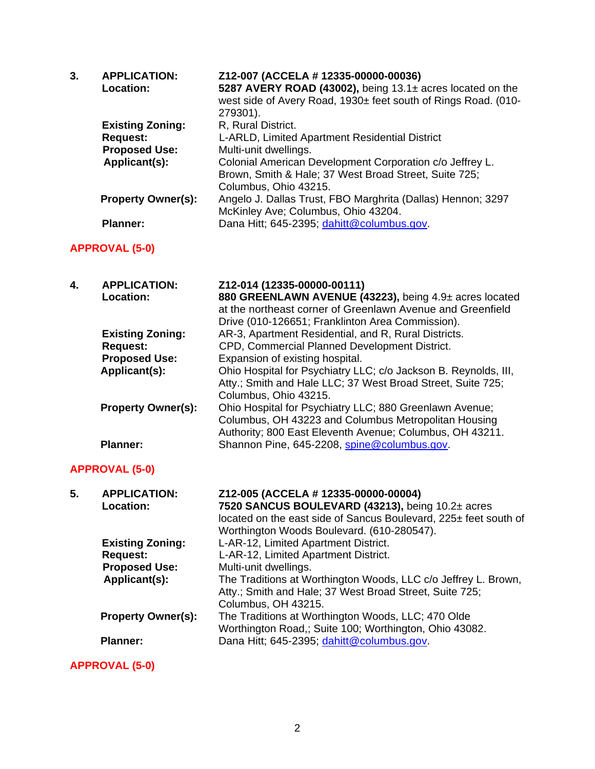| 3. | <b>APPLICATION:</b><br>Location: | Z12-007 (ACCELA # 12335-00000-00036)<br>5287 AVERY ROAD (43002), being 13.1± acres located on the |
|----|----------------------------------|---------------------------------------------------------------------------------------------------|
|    |                                  | west side of Avery Road, 1930± feet south of Rings Road. (010-<br>279301).                        |
|    | <b>Existing Zoning:</b>          | R, Rural District.                                                                                |
|    | <b>Request:</b>                  | L-ARLD, Limited Apartment Residential District                                                    |
|    | <b>Proposed Use:</b>             | Multi-unit dwellings.                                                                             |
|    | Applicant(s):                    | Colonial American Development Corporation c/o Jeffrey L.                                          |
|    |                                  | Brown, Smith & Hale; 37 West Broad Street, Suite 725;                                             |
|    |                                  | Columbus, Ohio 43215.                                                                             |
|    | <b>Property Owner(s):</b>        | Angelo J. Dallas Trust, FBO Marghrita (Dallas) Hennon; 3297                                       |
|    |                                  | McKinley Ave; Columbus, Ohio 43204.                                                               |
|    | <b>Planner:</b>                  | Dana Hitt; 645-2395; dahitt@columbus.gov.                                                         |

# **APPROVAL (5-0)**

| 4. | <b>APPLICATION:</b><br>Location: | Z12-014 (12335-00000-00111)<br>880 GREENLAWN AVENUE (43223), being 4.9± acres located<br>at the northeast corner of Greenlawn Avenue and Greenfield<br>Drive (010-126651; Franklinton Area Commission). |
|----|----------------------------------|---------------------------------------------------------------------------------------------------------------------------------------------------------------------------------------------------------|
|    | <b>Existing Zoning:</b>          | AR-3, Apartment Residential, and R, Rural Districts.                                                                                                                                                    |
|    | <b>Request:</b>                  | CPD, Commercial Planned Development District.                                                                                                                                                           |
|    | <b>Proposed Use:</b>             | Expansion of existing hospital.                                                                                                                                                                         |
|    | Applicant(s):                    | Ohio Hospital for Psychiatry LLC; c/o Jackson B. Reynolds, III,<br>Atty.; Smith and Hale LLC; 37 West Broad Street, Suite 725;<br>Columbus, Ohio 43215.                                                 |
|    | <b>Property Owner(s):</b>        | Ohio Hospital for Psychiatry LLC; 880 Greenlawn Avenue;<br>Columbus, OH 43223 and Columbus Metropolitan Housing<br>Authority; 800 East Eleventh Avenue; Columbus, OH 43211.                             |
|    | <b>Planner:</b>                  | Shannon Pine, 645-2208, spine@columbus.gov.                                                                                                                                                             |

## **APPROVAL (5-0)**

| 5. | <b>APPLICATION:</b><br>Location: | Z12-005 (ACCELA # 12335-00000-00004)<br>7520 SANCUS BOULEVARD (43213), being 10.2± acres<br>located on the east side of Sancus Boulevard, 225± feet south of<br>Worthington Woods Boulevard. (610-280547). |
|----|----------------------------------|------------------------------------------------------------------------------------------------------------------------------------------------------------------------------------------------------------|
|    | <b>Existing Zoning:</b>          | L-AR-12, Limited Apartment District.                                                                                                                                                                       |
|    | <b>Request:</b>                  | L-AR-12, Limited Apartment District.                                                                                                                                                                       |
|    | <b>Proposed Use:</b>             | Multi-unit dwellings.                                                                                                                                                                                      |
|    | Applicant(s):                    | The Traditions at Worthington Woods, LLC c/o Jeffrey L. Brown,<br>Atty.; Smith and Hale; 37 West Broad Street, Suite 725;<br>Columbus, OH 43215.                                                           |
|    | <b>Property Owner(s):</b>        | The Traditions at Worthington Woods, LLC; 470 Olde<br>Worthington Road,; Suite 100; Worthington, Ohio 43082.                                                                                               |
|    | <b>Planner:</b>                  | Dana Hitt; 645-2395; dahitt@columbus.gov.                                                                                                                                                                  |

**APPROVAL (5-0)**